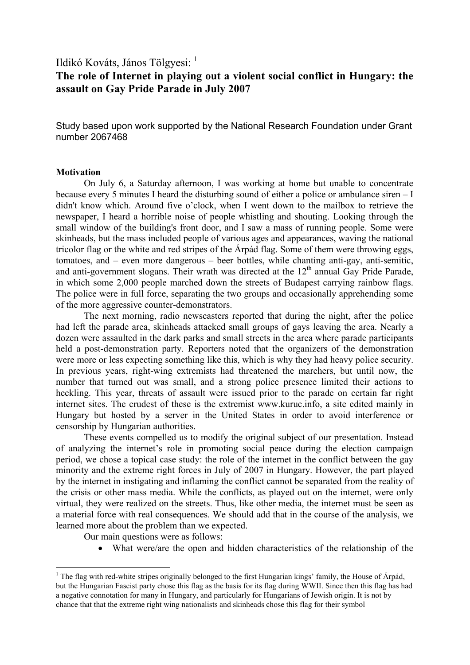## Ildikó Kováts, János Tölgyesi: <sup>1</sup>

# **The role of Internet in playing out a violent social conflict in Hungary: the assault on Gay Pride Parade in July 2007**

Study based upon work supported by the National Research Foundation under Grant number 2067468

#### **Motivation**

1

 On July 6, a Saturday afternoon, I was working at home but unable to concentrate because every 5 minutes I heard the disturbing sound of either a police or ambulance siren – I didn't know which. Around five o'clock, when I went down to the mailbox to retrieve the newspaper, I heard a horrible noise of people whistling and shouting. Looking through the small window of the building's front door, and I saw a mass of running people. Some were skinheads, but the mass included people of various ages and appearances, waving the national tricolor flag or the white and red stripes of the Árpád flag. Some of them were throwing eggs, tomatoes, and – even more dangerous – beer bottles, while chanting anti-gay, anti-semitic, and anti-government slogans. Their wrath was directed at the  $12<sup>th</sup>$  annual Gay Pride Parade, in which some 2,000 people marched down the streets of Budapest carrying rainbow flags. The police were in full force, separating the two groups and occasionally apprehending some of the more aggressive counter-demonstrators.

 The next morning, radio newscasters reported that during the night, after the police had left the parade area, skinheads attacked small groups of gays leaving the area. Nearly a dozen were assaulted in the dark parks and small streets in the area where parade participants held a post-demonstration party. Reporters noted that the organizers of the demonstration were more or less expecting something like this, which is why they had heavy police security. In previous years, right-wing extremists had threatened the marchers, but until now, the number that turned out was small, and a strong police presence limited their actions to heckling. This year, threats of assault were issued prior to the parade on certain far right internet sites. The crudest of these is the extremist www.kuruc.info, a site edited mainly in Hungary but hosted by a server in the United States in order to avoid interference or censorship by Hungarian authorities.

 These events compelled us to modify the original subject of our presentation. Instead of analyzing the internet's role in promoting social peace during the election campaign period, we chose a topical case study: the role of the internet in the conflict between the gay minority and the extreme right forces in July of 2007 in Hungary. However, the part played by the internet in instigating and inflaming the conflict cannot be separated from the reality of the crisis or other mass media. While the conflicts, as played out on the internet, were only virtual, they were realized on the streets. Thus, like other media, the internet must be seen as a material force with real consequences. We should add that in the course of the analysis, we learned more about the problem than we expected.

Our main questions were as follows:

• What were/are the open and hidden characteristics of the relationship of the

<sup>&</sup>lt;sup>1</sup> The flag with red-white stripes originally belonged to the first Hungarian kings' family, the House of Árpád, but the Hungarian Fascist party chose this flag as the basis for its flag during WWII. Since then this flag has had a negative connotation for many in Hungary, and particularly for Hungarians of Jewish origin. It is not by chance that that the extreme right wing nationalists and skinheads chose this flag for their symbol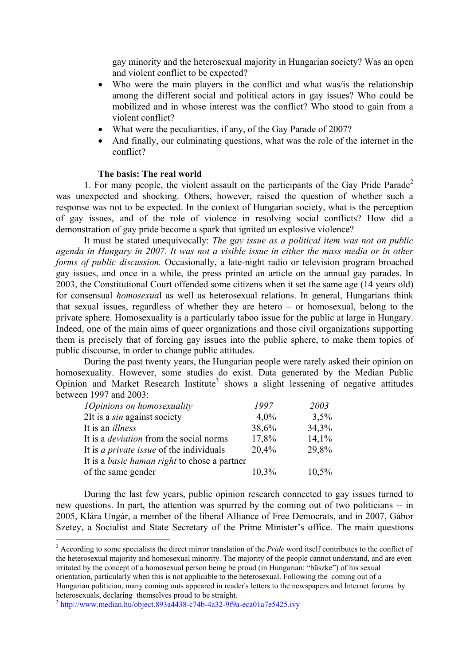gay minority and the heterosexual majority in Hungarian society? Was an open and violent conflict to be expected?

- Who were the main players in the conflict and what was/is the relationship among the different social and political actors in gay issues? Who could be mobilized and in whose interest was the conflict? Who stood to gain from a violent conflict?
- What were the peculiarities, if any, of the Gay Parade of 2007?
- And finally, our culminating questions, what was the role of the internet in the conflict?

#### **The basis: The real world**

1. For many people, the violent assault on the participants of the Gay Pride Parade<sup>2</sup> was unexpected and shocking. Others, however, raised the question of whether such a response was not to be expected. In the context of Hungarian society, what is the perception of gay issues, and of the role of violence in resolving social conflicts? How did a demonstration of gay pride become a spark that ignited an explosive violence?

 It must be stated unequivocally: *The gay issue as a political item was not on public agenda in Hungary in 2007. It was not a visible issue in either the mass media or in other forms of public discussion.* Occasionally, a late-night radio or television program broached gay issues, and once in a while, the press printed an article on the annual gay parades. In 2003, the Constitutional Court offended some citizens when it set the same age (14 years old) for consensual *homosexua*l as well as heterosexual relations. In general, Hungarians think that sexual issues, regardless of whether they are hetero – or homosexual, belong to the private sphere. Homosexuality is a particularly taboo issue for the public at large in Hungary. Indeed, one of the main aims of queer organizations and those civil organizations supporting them is precisely that of forcing gay issues into the public sphere, to make them topics of public discourse, in order to change public attitudes.

 During the past twenty years, the Hungarian people were rarely asked their opinion on homosexuality. However, some studies do exist. Data generated by the Median Public Opinion and Market Research Institute<sup>3</sup> shows a slight lessening of negative attitudes between 1997 and 2003:

| <i><b>1</b>Opinions on homosexuality</i>            | 1997  | 2003  |
|-----------------------------------------------------|-------|-------|
| 2It is a <i>sin</i> against society                 | 4,0%  | 3,5%  |
| It is an <i>illness</i>                             | 38,6% | 34,3% |
| It is a <i>deviation</i> from the social norms      | 17,8% | 14,1% |
| It is <i>a private issue</i> of the individuals     | 20,4% | 29,8% |
| It is a <i>basic human right</i> to chose a partner |       |       |
| of the same gender                                  | 10,3% | 10,5% |

During the last few years, public opinion research connected to gay issues turned to new questions. In part, the attention was spurred by the coming out of two politicians -- in 2005, Klára Ungár, a member of the liberal Alliance of Free Democrats, and in 2007, Gábor Szetey, a Socialist and State Secretary of the Prime Minister's office. The main questions

<sup>&</sup>lt;sup>2</sup> According to some specialists the direct mirror translation of the *Pride* word itself contributes to the conflict of the heterosexual majority and homosexual minority. The majority of the people cannot understand, and are even irritated by the concept of a homosexual person being be proud (in Hungarian: "büszke") of his sexual orientation, particularly when this is not applicable to the heterosexual. Following the coming out of a Hungarian politician, many coming outs appeared in reader's letters to the newspapers and Internet forums by heterosexuals, declaring themselves proud to be straight.

 $3 \text{ http://www.median.hu/object.893a4438-c74b-4a32-9f9a-eca01a7e5425.ivv}$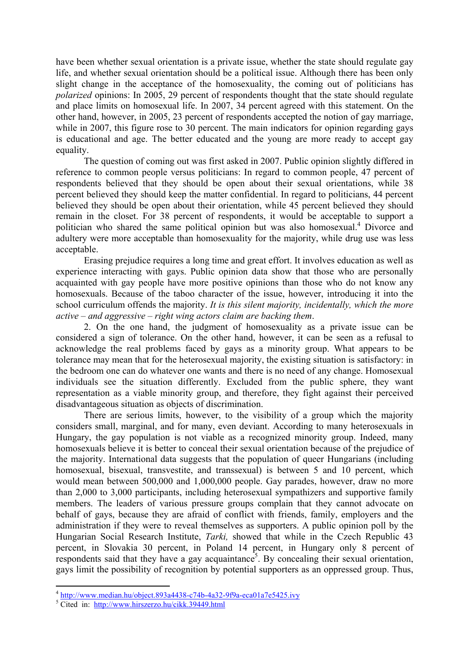have been whether sexual orientation is a private issue, whether the state should regulate gay life, and whether sexual orientation should be a political issue. Although there has been only slight change in the acceptance of the homosexuality, the coming out of politicians has *polarized* opinions: In 2005, 29 percent of respondents thought that the state should regulate and place limits on homosexual life. In 2007, 34 percent agreed with this statement. On the other hand, however, in 2005, 23 percent of respondents accepted the notion of gay marriage, while in 2007, this figure rose to 30 percent. The main indicators for opinion regarding gays is educational and age. The better educated and the young are more ready to accept gay equality.

The question of coming out was first asked in 2007. Public opinion slightly differed in reference to common people versus politicians: In regard to common people, 47 percent of respondents believed that they should be open about their sexual orientations, while 38 percent believed they should keep the matter confidential. In regard to politicians, 44 percent believed they should be open about their orientation, while 45 percent believed they should remain in the closet. For 38 percent of respondents, it would be acceptable to support a politician who shared the same political opinion but was also homosexual.<sup>4</sup> Divorce and adultery were more acceptable than homosexuality for the majority, while drug use was less acceptable.

Erasing prejudice requires a long time and great effort. It involves education as well as experience interacting with gays. Public opinion data show that those who are personally acquainted with gay people have more positive opinions than those who do not know any homosexuals. Because of the taboo character of the issue, however, introducing it into the school curriculum offends the majority. *It is this silent majority, incidentally, which the more active – and aggressive – right wing actors claim are backing them*.

2. On the one hand, the judgment of homosexuality as a private issue can be considered a sign of tolerance. On the other hand, however, it can be seen as a refusal to acknowledge the real problems faced by gays as a minority group. What appears to be tolerance may mean that for the heterosexual majority, the existing situation is satisfactory: in the bedroom one can do whatever one wants and there is no need of any change. Homosexual individuals see the situation differently. Excluded from the public sphere, they want representation as a viable minority group, and therefore, they fight against their perceived disadvantageous situation as objects of discrimination.

There are serious limits, however, to the visibility of a group which the majority considers small, marginal, and for many, even deviant. According to many heterosexuals in Hungary, the gay population is not viable as a recognized minority group. Indeed, many homosexuals believe it is better to conceal their sexual orientation because of the prejudice of the majority. International data suggests that the population of queer Hungarians (including homosexual, bisexual, transvestite, and transsexual) is between 5 and 10 percent, which would mean between 500,000 and 1,000,000 people. Gay parades, however, draw no more than 2,000 to 3,000 participants, including heterosexual sympathizers and supportive family members. The leaders of various pressure groups complain that they cannot advocate on behalf of gays, because they are afraid of conflict with friends, family, employers and the administration if they were to reveal themselves as supporters. A public opinion poll by the Hungarian Social Research Institute, *Tarki,* showed that while in the Czech Republic 43 percent, in Slovakia 30 percent, in Poland 14 percent, in Hungary only 8 percent of respondents said that they have a gay acquaintance<sup>5</sup>. By concealing their sexual orientation, gays limit the possibility of recognition by potential supporters as an oppressed group. Thus,

<sup>4</sup> http://www.median.hu/object.893a4438-c74b-4a32-9f9a-eca01a7e5425.ivy

<sup>&</sup>lt;sup>5</sup> Cited in: http://www.hirszerzo.hu/cikk.39449.html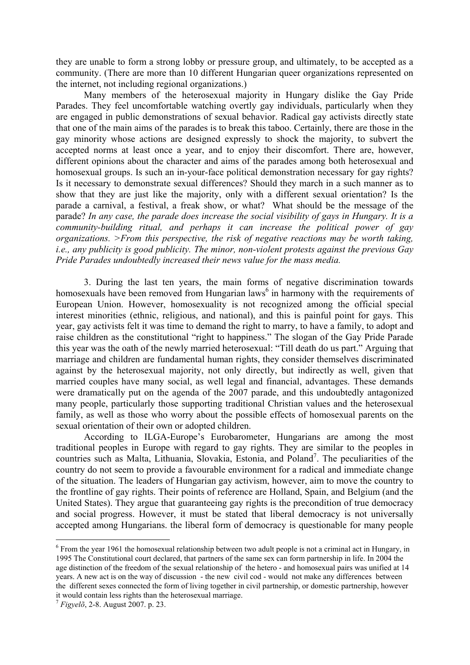they are unable to form a strong lobby or pressure group, and ultimately, to be accepted as a community. (There are more than 10 different Hungarian queer organizations represented on the internet, not including regional organizations.)

Many members of the heterosexual majority in Hungary dislike the Gay Pride Parades. They feel uncomfortable watching overtly gay individuals, particularly when they are engaged in public demonstrations of sexual behavior. Radical gay activists directly state that one of the main aims of the parades is to break this taboo. Certainly, there are those in the gay minority whose actions are designed expressly to shock the majority, to subvert the accepted norms at least once a year, and to enjoy their discomfort. There are, however, different opinions about the character and aims of the parades among both heterosexual and homosexual groups. Is such an in-your-face political demonstration necessary for gay rights? Is it necessary to demonstrate sexual differences? Should they march in a such manner as to show that they are just like the majority, only with a different sexual orientation? Is the parade a carnival, a festival, a freak show, or what? What should be the message of the parade? *In any case, the parade does increase the social visibility of gays in Hungary. It is a community-building ritual, and perhaps it can increase the political power of gay organizations. >From this perspective, the risk of negative reactions may be worth taking, i.e., any publicity is good publicity. The minor, non-violent protests against the previous Gay Pride Parades undoubtedly increased their news value for the mass media.* 

3. During the last ten years, the main forms of negative discrimination towards homosexuals have been removed from Hungarian  $laws<sup>6</sup>$  in harmony with the requirements of European Union. However, homosexuality is not recognized among the official special interest minorities (ethnic, religious, and national), and this is painful point for gays. This year, gay activists felt it was time to demand the right to marry, to have a family, to adopt and raise children as the constitutional "right to happiness." The slogan of the Gay Pride Parade this year was the oath of the newly married heterosexual: "Till death do us part." Arguing that marriage and children are fundamental human rights, they consider themselves discriminated against by the heterosexual majority, not only directly, but indirectly as well, given that married couples have many social, as well legal and financial, advantages. These demands were dramatically put on the agenda of the 2007 parade, and this undoubtedly antagonized many people, particularly those supporting traditional Christian values and the heterosexual family, as well as those who worry about the possible effects of homosexual parents on the sexual orientation of their own or adopted children.

According to ILGA-Europe's Eurobarometer, Hungarians are among the most traditional peoples in Europe with regard to gay rights. They are similar to the peoples in countries such as Malta, Lithuania, Slovakia, Estonia, and Poland<sup>7</sup>. The peculiarities of the country do not seem to provide a favourable environment for a radical and immediate change of the situation. The leaders of Hungarian gay activism, however, aim to move the country to the frontline of gay rights. Their points of reference are Holland, Spain, and Belgium (and the United States). They argue that guaranteeing gay rights is the precondition of true democracy and social progress. However, it must be stated that liberal democracy is not universally accepted among Hungarians. the liberal form of democracy is questionable for many people

<sup>&</sup>lt;sup>6</sup> From the year 1961 the homosexual relationship between two adult people is not a criminal act in Hungary, in 1995 The Constitutional court declared, that partners of the same sex can form partnership in life. In 2004 the age distinction of the freedom of the sexual relationship of the hetero - and homosexual pairs was unified at 14 years. A new act is on the way of discussion - the new civil cod - would not make any differences between the different sexes connected the form of living together in civil partnership, or domestic partnership, however it would contain less rights than the heterosexual marriage.

<sup>7</sup> *Figyelõ*, 2-8. August 2007. p. 23.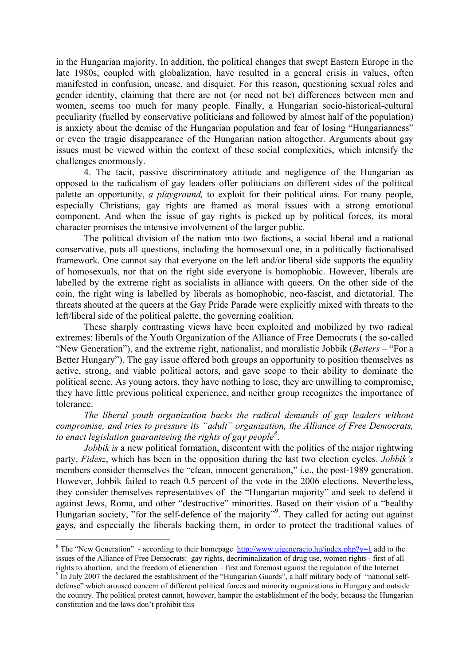in the Hungarian majority. In addition, the political changes that swept Eastern Europe in the late 1980s, coupled with globalization, have resulted in a general crisis in values, often manifested in confusion, unease, and disquiet. For this reason, questioning sexual roles and gender identity, claiming that there are not (or need not be) differences between men and women, seems too much for many people. Finally, a Hungarian socio-historical-cultural peculiarity (fuelled by conservative politicians and followed by almost half of the population) is anxiety about the demise of the Hungarian population and fear of losing "Hungarianness" or even the tragic disappearance of the Hungarian nation altogether. Arguments about gay issues must be viewed within the context of these social complexities, which intensify the challenges enormously.

4. The tacit, passive discriminatory attitude and negligence of the Hungarian as opposed to the radicalism of gay leaders offer politicians on different sides of the political palette an opportunity, *a playground,* to exploit for their political aims. For many people, especially Christians, gay rights are framed as moral issues with a strong emotional component. And when the issue of gay rights is picked up by political forces, its moral character promises the intensive involvement of the larger public.

The political division of the nation into two factions, a social liberal and a national conservative, puts all questions, including the homosexual one, in a politically factionalised framework. One cannot say that everyone on the left and/or liberal side supports the equality of homosexuals, nor that on the right side everyone is homophobic. However, liberals are labelled by the extreme right as socialists in alliance with queers. On the other side of the coin, the right wing is labelled by liberals as homophobic, neo-fascist, and dictatorial. The threats shouted at the queers at the Gay Pride Parade were explicitly mixed with threats to the left/liberal side of the political palette, the governing coalition.

These sharply contrasting views have been exploited and mobilized by two radical extremes: liberals of the Youth Organization of the Alliance of Free Democrats ( the so-called "New Generation"), and the extreme right, nationalist, and moralistic Jobbik (*Betters* – "For a Better Hungary"). The gay issue offered both groups an opportunity to position themselves as active, strong, and viable political actors, and gave scope to their ability to dominate the political scene. As young actors, they have nothing to lose, they are unwilling to compromise, they have little previous political experience, and neither group recognizes the importance of tolerance.

*The liberal youth organization backs the radical demands of gay leaders without compromise, and tries to pressure its "adult" organization, the Alliance of Free Democrats, to enact legislation guaranteeing the rights of gay people<sup>8</sup>* .

*Jobbik is* a new political formation, discontent with the politics of the major rightwing party, *Fidesz*, which has been in the opposition during the last two election cycles. *Jobbik's*  members consider themselves the "clean, innocent generation," i.e., the post-1989 generation. However, Jobbik failed to reach 0.5 percent of the vote in the 2006 elections. Nevertheless, they consider themselves representatives of the "Hungarian majority" and seek to defend it against Jews, Roma, and other "destructive" minorities. Based on their vision of a "healthy Hungarian society, "for the self-defence of the majority"<sup>9</sup>. They called for acting out against gays, and especially the liberals backing them, in order to protect the traditional values of

<sup>&</sup>lt;sup>8</sup> The "New Generation" - according to their homepage  $\frac{http://www.uigeneracio.hu/index.php?y=1}{}$  add to the issues of the Alliance of Free Democrats: gay rights, decriminalization of drug use, women rights– first of all

rights to abortion, and the freedom of eGeneration – first and foremost against the regulation of the Internet<br><sup>9</sup> In July 2007 the declared the establishment of the "Hungarian Guards", a half military body of "national se defense" which aroused concern of different political forces and minority organizations in Hungary and outside the country. The political protest cannot, however, hamper the establishment of the body, because the Hungarian constitution and the laws don't prohibit this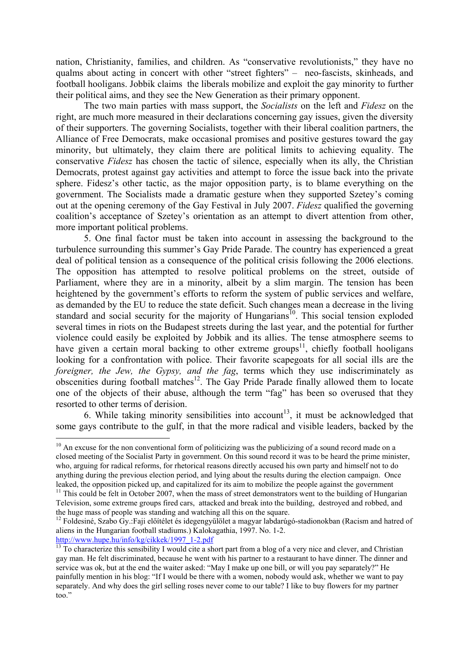nation, Christianity, families, and children. As "conservative revolutionists," they have no qualms about acting in concert with other "street fighters" – neo-fascists, skinheads, and football hooligans. Jobbik claims the liberals mobilize and exploit the gay minority to further their political aims, and they see the New Generation as their primary opponent.

The two main parties with mass support, the *Socialists* on the left and *Fidesz* on the right, are much more measured in their declarations concerning gay issues, given the diversity of their supporters. The governing Socialists, together with their liberal coalition partners, the Alliance of Free Democrats, make occasional promises and positive gestures toward the gay minority, but ultimately, they claim there are political limits to achieving equality. The conservative *Fidesz* has chosen the tactic of silence, especially when its ally, the Christian Democrats, protest against gay activities and attempt to force the issue back into the private sphere. Fidesz's other tactic, as the major opposition party, is to blame everything on the government. The Socialists made a dramatic gesture when they supported Szetey's coming out at the opening ceremony of the Gay Festival in July 2007. *Fidesz* qualified the governing coalition's acceptance of Szetey's orientation as an attempt to divert attention from other, more important political problems.

5. One final factor must be taken into account in assessing the background to the turbulence surrounding this summer's Gay Pride Parade. The country has experienced a great deal of political tension as a consequence of the political crisis following the 2006 elections. The opposition has attempted to resolve political problems on the street, outside of Parliament, where they are in a minority, albeit by a slim margin. The tension has been heightened by the government's efforts to reform the system of public services and welfare, as demanded by the EU to reduce the state deficit. Such changes mean a decrease in the living standard and social security for the majority of Hungarians<sup>10</sup>. This social tension exploded several times in riots on the Budapest streets during the last year, and the potential for further violence could easily be exploited by Jobbik and its allies. The tense atmosphere seems to have given a certain moral backing to other extreme groups<sup>11</sup>, chiefly football hooligans looking for a confrontation with police. Their favorite scapegoats for all social ills are the *foreigner, the Jew, the Gypsy, and the fag*, terms which they use indiscriminately as obscenities during football matches<sup>12</sup>. The Gay Pride Parade finally allowed them to locate one of the objects of their abuse, although the term "fag" has been so overused that they resorted to other terms of derision.

6. While taking minority sensibilities into account<sup>13</sup>, it must be acknowledged that some gays contribute to the gulf, in that the more radical and visible leaders, backed by the

http://www.hupe.hu/info/kg/cikkek/1997\_1-2.pdf

<sup>&</sup>lt;sup>10</sup> An excuse for the non conventional form of politicizing was the publicizing of a sound record made on a closed meeting of the Socialist Party in government. On this sound record it was to be heard the prime minister, who, arguing for radical reforms, for rhetorical reasons directly accused his own party and himself not to do anything during the previous election period, and lying about the results during the election campaign. Once leaked, the opposition picked up, and capitalized for its aim to mobilize the people against the government

<sup>&</sup>lt;sup>11</sup> This could be felt in October 2007, when the mass of street demonstrators went to the building of Hungarian Television, some extreme groups fired cars, attacked and break into the building, destroyed and robbed, and the huge mass of people was standing and watching all this on the square.<br><sup>12</sup> Foldesiné, Szabo Gy.:Faji előítélet és idegengyűlölet a magyar labdarúgó-stadionokban (Racism and hatred of

aliens in the Hungarian football stadiums.) Kalokagathia, 1997. No. 1-2.

 $\frac{13}{13}$  To characterize this sensibility I would cite a short part from a blog of a very nice and clever, and Christian gay man. He felt discriminated, because he went with his partner to a restaurant to have dinner. The dinner and service was ok, but at the end the waiter asked: "May I make up one bill, or will you pay separately?" He painfully mention in his blog: "If I would be there with a women, nobody would ask, whether we want to pay separately. And why does the girl selling roses never come to our table? I like to buy flowers for my partner too."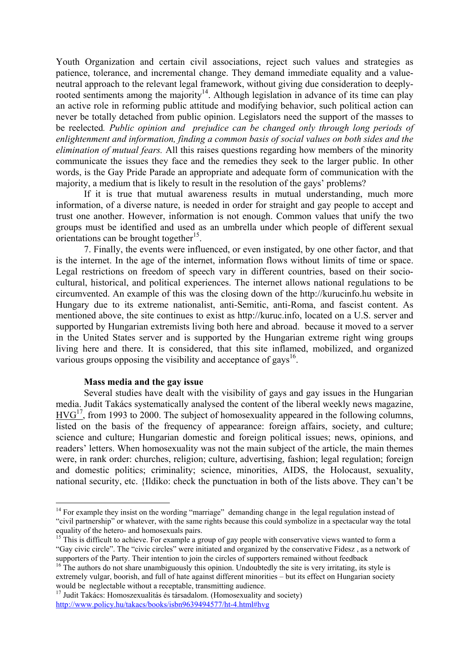Youth Organization and certain civil associations, reject such values and strategies as patience, tolerance, and incremental change. They demand immediate equality and a valueneutral approach to the relevant legal framework, without giving due consideration to deeplyrooted sentiments among the majority<sup>14</sup>. Although legislation in advance of its time can play an active role in reforming public attitude and modifying behavior, such political action can never be totally detached from public opinion. Legislators need the support of the masses to be reelected*. Public opinion and prejudice can be changed only through long periods of enlightenment and information, finding a common basis of social values on both sides and the elimination of mutual fears.* All this raises questions regarding how members of the minority communicate the issues they face and the remedies they seek to the larger public. In other words, is the Gay Pride Parade an appropriate and adequate form of communication with the majority, a medium that is likely to result in the resolution of the gays' problems?

If it is true that mutual awareness results in mutual understanding, much more information, of a diverse nature, is needed in order for straight and gay people to accept and trust one another. However, information is not enough. Common values that unify the two groups must be identified and used as an umbrella under which people of different sexual orientations can be brought together<sup>15</sup>.

7. Finally, the events were influenced, or even instigated, by one other factor, and that is the internet. In the age of the internet, information flows without limits of time or space. Legal restrictions on freedom of speech vary in different countries, based on their sociocultural, historical, and political experiences. The internet allows national regulations to be circumvented. An example of this was the closing down of the http://kurucinfo.hu website in Hungary due to its extreme nationalist, anti-Semitic, anti-Roma, and fascist content. As mentioned above, the site continues to exist as http://kuruc.info, located on a U.S. server and supported by Hungarian extremists living both here and abroad. because it moved to a server in the United States server and is supported by the Hungarian extreme right wing groups living here and there. It is considered, that this site inflamed, mobilized, and organized various groups opposing the visibility and acceptance of gays<sup>16</sup>.

#### **Mass media and the gay issue**

1

Several studies have dealt with the visibility of gays and gay issues in the Hungarian media. Judit Takács systematically analysed the content of the liberal weekly news magazine,  $HVG<sup>17</sup>$ , from 1993 to 2000. The subject of homosexuality appeared in the following columns, listed on the basis of the frequency of appearance: foreign affairs, society, and culture; science and culture; Hungarian domestic and foreign political issues; news, opinions, and readers' letters. When homosexuality was not the main subject of the article, the main themes were, in rank order: churches, religion; culture, advertising, fashion; legal regulation; foreign and domestic politics; criminality; science, minorities, AIDS, the Holocaust, sexuality, national security, etc. {Ildiko: check the punctuation in both of the lists above. They can't be

<sup>&</sup>lt;sup>14</sup> For example they insist on the wording "marriage" demanding change in the legal regulation instead of "civil partnership" or whatever, with the same rights because this could symbolize in a spectacular way the total equality of the hetero- and homosexuals pairs.

 $15$ <sup>15</sup> This is difficult to achieve. For example a group of gay people with conservative views wanted to form a "Gay civic circle". The "civic circles" were initiated and organized by the conservative Fidesz , as a network of supporters of the Party. Their intention to join the circles of supporters remained without feedback

<sup>&</sup>lt;sup>16</sup> The authors do not share unambiguously this opinion. Undoubtedly the site is very irritating, its style is extremely vulgar, boorish, and full of hate against different minorities – but its effect on Hungarian society<br>would be neglectable without a receptable, transmitting audience.

 $17$  Judit Takács: Homoszexualitás és társadalom. (Homosexuality and society) http://www.policy.hu/takacs/books/isbn9639494577/ht-4.html#hvg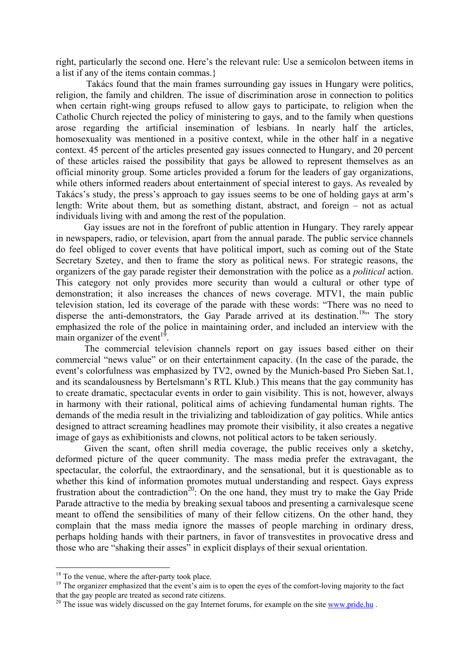right, particularly the second one. Here's the relevant rule: Use a semicolon between items in a list if any of the items contain commas.}

 Takács found that the main frames surrounding gay issues in Hungary were politics, religion, the family and children. The issue of discrimination arose in connection to politics when certain right-wing groups refused to allow gays to participate, to religion when the Catholic Church rejected the policy of ministering to gays, and to the family when questions arose regarding the artificial insemination of lesbians. In nearly half the articles, homosexuality was mentioned in a positive context, while in the other half in a negative context. 45 percent of the articles presented gay issues connected to Hungary, and 20 percent of these articles raised the possibility that gays be allowed to represent themselves as an official minority group. Some articles provided a forum for the leaders of gay organizations, while others informed readers about entertainment of special interest to gays. As revealed by Takács's study, the press's approach to gay issues seems to be one of holding gays at arm's length: Write about them, but as something distant, abstract, and foreign – not as actual individuals living with and among the rest of the population.

Gay issues are not in the forefront of public attention in Hungary. They rarely appear in newspapers, radio, or television, apart from the annual parade. The public service channels do feel obliged to cover events that have political import, such as coming out of the State Secretary Szetey, and then to frame the story as political news. For strategic reasons, the organizers of the gay parade register their demonstration with the police as a *political* action. This category not only provides more security than would a cultural or other type of demonstration; it also increases the chances of news coverage. MTV1, the main public television station, led its coverage of the parade with these words: "There was no need to disperse the anti-demonstrators, the Gay Parade arrived at its destination.<sup>18</sup>" The story emphasized the role of the police in maintaining order, and included an interview with the main organizer of the event<sup>19</sup>.

 The commercial television channels report on gay issues based either on their commercial "news value" or on their entertainment capacity. (In the case of the parade, the event's colorfulness was emphasized by TV2, owned by the Munich-based Pro Sieben Sat.1, and its scandalousness by Bertelsmann's RTL Klub.) This means that the gay community has to create dramatic, spectacular events in order to gain visibility. This is not, however, always in harmony with their rational, political aims of achieving fundamental human rights. The demands of the media result in the trivializing and tabloidization of gay politics. While antics designed to attract screaming headlines may promote their visibility, it also creates a negative image of gays as exhibitionists and clowns, not political actors to be taken seriously.

 Given the scant, often shrill media coverage, the public receives only a sketchy, deformed picture of the queer community. The mass media prefer the extravagant, the spectacular, the colorful, the extraordinary, and the sensational, but it is questionable as to whether this kind of information promotes mutual understanding and respect. Gays express frustration about the contradiction<sup>20</sup>: On the one hand, they must try to make the Gay Pride Parade attractive to the media by breaking sexual taboos and presenting a carnivalesque scene meant to offend the sensibilities of many of their fellow citizens. On the other hand, they complain that the mass media ignore the masses of people marching in ordinary dress, perhaps holding hands with their partners, in favor of transvestites in provocative dress and those who are "shaking their asses" in explicit displays of their sexual orientation.

<sup>&</sup>lt;sup>18</sup> To the venue, where the after-party took place.

<sup>&</sup>lt;sup>19</sup> The organizer emphasized that the event's aim is to open the eyes of the comfort-loving majority to the fact that the gay people are treated as second rate citizens.

<sup>&</sup>lt;sup>20</sup> The issue was widely discussed on the gay Internet forums, for example on the site www.pride.hu.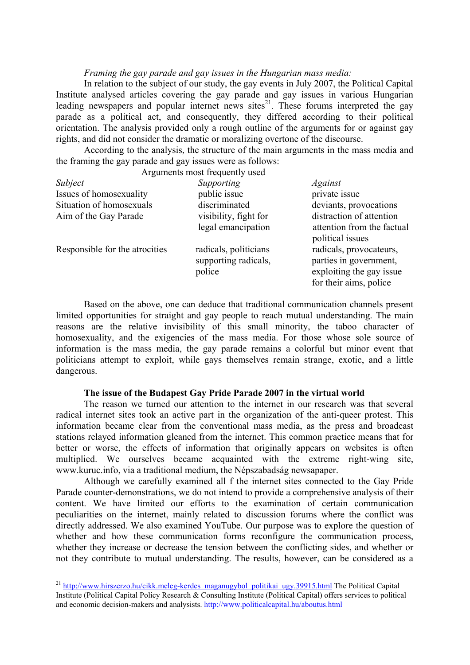#### *Framing the gay parade and gay issues in the Hungarian mass media:*

In relation to the subject of our study, the gay events in July 2007, the Political Capital Institute analysed articles covering the gay parade and gay issues in various Hungarian leading newspapers and popular internet news sites $^{21}$ . These forums interpreted the gay parade as a political act, and consequently, they differed according to their political orientation. The analysis provided only a rough outline of the arguments for or against gay rights, and did not consider the dramatic or moralizing overtone of the discourse.

According to the analysis, the structure of the main arguments in the mass media and the framing the gay parade and gay issues were as follows:

|                                | Arguments most frequently used                          |                                                                                                         |
|--------------------------------|---------------------------------------------------------|---------------------------------------------------------------------------------------------------------|
| Subject                        | Supporting                                              | Against                                                                                                 |
| Issues of homosexuality        | public issue                                            | private issue                                                                                           |
| Situation of homosexuals       | discriminated                                           | deviants, provocations                                                                                  |
| Aim of the Gay Parade          | visibility, fight for                                   | distraction of attention                                                                                |
|                                | legal emancipation                                      | attention from the factual<br>political issues                                                          |
| Responsible for the atrocities | radicals, politicians<br>supporting radicals,<br>police | radicals, provocateurs,<br>parties in government,<br>exploiting the gay issue<br>for their aims, police |

 Based on the above, one can deduce that traditional communication channels present limited opportunities for straight and gay people to reach mutual understanding. The main reasons are the relative invisibility of this small minority, the taboo character of homosexuality, and the exigencies of the mass media. For those whose sole source of information is the mass media, the gay parade remains a colorful but minor event that politicians attempt to exploit, while gays themselves remain strange, exotic, and a little dangerous.

## **The issue of the Budapest Gay Pride Parade 2007 in the virtual world**

The reason we turned our attention to the internet in our research was that several radical internet sites took an active part in the organization of the anti-queer protest. This information became clear from the conventional mass media, as the press and broadcast stations relayed information gleaned from the internet. This common practice means that for better or worse, the effects of information that originally appears on websites is often multiplied. We ourselves became acquainted with the extreme right-wing site, www.kuruc.info, via a traditional medium, the Népszabadság newsapaper.

Although we carefully examined all f the internet sites connected to the Gay Pride Parade counter-demonstrations, we do not intend to provide a comprehensive analysis of their content. We have limited our efforts to the examination of certain communication peculiarities on the internet, mainly related to discussion forums where the conflict was directly addressed. We also examined YouTube. Our purpose was to explore the question of whether and how these communication forms reconfigure the communication process, whether they increase or decrease the tension between the conflicting sides, and whether or not they contribute to mutual understanding. The results, however, can be considered as a

<sup>&</sup>lt;sup>21</sup> http://www.hirszerzo.hu/cikk.meleg-kerdes\_maganugybol\_politikai\_ugy.39915.html The Political Capital Institute (Political Capital Policy Research & Consulting Institute (Political Capital) offers services to political and economic decision-makers and analysists. http://www.politicalcapital.hu/aboutus.html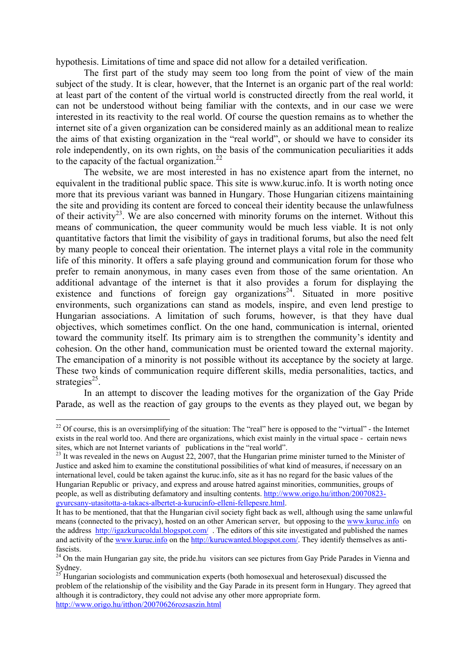hypothesis. Limitations of time and space did not allow for a detailed verification.

The first part of the study may seem too long from the point of view of the main subject of the study. It is clear, however, that the Internet is an organic part of the real world: at least part of the content of the virtual world is constructed directly from the real world, it can not be understood without being familiar with the contexts, and in our case we were interested in its reactivity to the real world. Of course the question remains as to whether the internet site of a given organization can be considered mainly as an additional mean to realize the aims of that existing organization in the "real world", or should we have to consider its role independently, on its own rights, on the basis of the communication peculiarities it adds to the capacity of the factual organization. $^{22}$ 

The website, we are most interested in has no existence apart from the internet, no equivalent in the traditional public space. This site is www.kuruc.info. It is worth noting once more that its previous variant was banned in Hungary. Those Hungarian citizens maintaining the site and providing its content are forced to conceal their identity because the unlawfulness of their activity<sup>23</sup>. We are also concerned with minority forums on the internet. Without this means of communication, the queer community would be much less viable. It is not only quantitative factors that limit the visibility of gays in traditional forums, but also the need felt by many people to conceal their orientation. The internet plays a vital role in the community life of this minority. It offers a safe playing ground and communication forum for those who prefer to remain anonymous, in many cases even from those of the same orientation. An additional advantage of the internet is that it also provides a forum for displaying the existence and functions of foreign gay organizations<sup>24</sup>. Situated in more positive environments, such organizations can stand as models, inspire, and even lend prestige to Hungarian associations. A limitation of such forums, however, is that they have dual objectives, which sometimes conflict. On the one hand, communication is internal, oriented toward the community itself. Its primary aim is to strengthen the community's identity and cohesion. On the other hand, communication must be oriented toward the external majority. The emancipation of a minority is not possible without its acceptance by the society at large. These two kinds of communication require different skills, media personalities, tactics, and strategies<sup>25</sup>.

In an attempt to discover the leading motives for the organization of the Gay Pride Parade, as well as the reaction of gay groups to the events as they played out, we began by

 $22$  Of course, this is an oversimplifying of the situation: The "real" here is opposed to the "virtual" - the Internet exists in the real world too. And there are organizations, which exist mainly in the virtual space - certain news sites, which are not Internet variants of publications in the "real world".

 $^{23}$  It was revealed in the news on August 22, 2007, that the Hungarian prime minister turned to the Minister of Justice and asked him to examine the constitutional possibilities of what kind of measures, if necessary on an international level, could be taken against the kuruc.info, site as it has no regard for the basic values of the Hungarian Republic or privacy, and express and arouse hatred against minorities, communities, groups of people, as well as distributing defamatory and insulting contents. http://www.origo.hu/itthon/20070823 gyurcsany-utasitotta-a-takacs-albertet-a-kurucinfo-elleni-fellepesre.html.

It has to be mentioned, that that the Hungarian civil society fight back as well, although using the same unlawful means (connected to the privacy), hosted on an other American server, but opposing to the www.kuruc.info on the address http://igazkurucoldal.blogspot.com/ . The editors of this site investigated and published the names and activity of the www.kuruc.info on the http://kurucwanted.blogspot.com/. They identify themselves as antifascists.

<sup>&</sup>lt;sup>24</sup> On the main Hungarian gay site, the pride.hu visitors can see pictures from Gay Pride Parades in Vienna and Sydney.

<sup>25</sup> Hungarian sociologists and communication experts (both homosexual and heterosexual) discussed the problem of the relationship of the visibility and the Gay Parade in its present form in Hungary. They agreed that although it is contradictory, they could not advise any other more appropriate form. http://www.origo.hu/itthon/20070626rozsaszin.html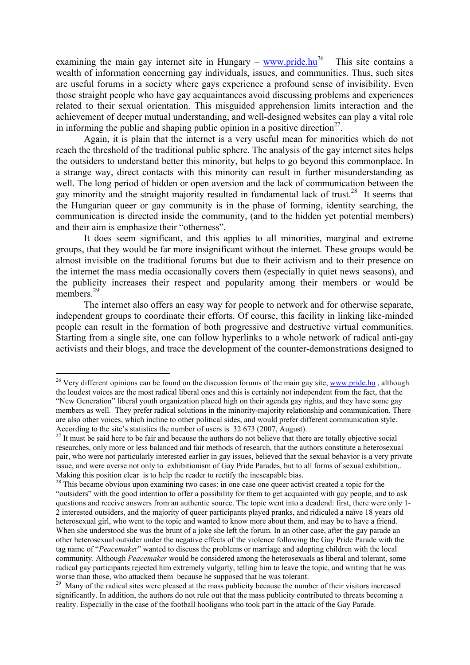examining the main gay internet site in Hungary – www.pride.hu<sup>26</sup> This site contains a wealth of information concerning gay individuals, issues, and communities. Thus, such sites are useful forums in a society where gays experience a profound sense of invisibility. Even those straight people who have gay acquaintances avoid discussing problems and experiences related to their sexual orientation. This misguided apprehension limits interaction and the achievement of deeper mutual understanding, and well-designed websites can play a vital role in informing the public and shaping public opinion in a positive direction<sup>27</sup>.

Again, it is plain that the internet is a very useful mean for minorities which do not reach the threshold of the traditional public sphere. The analysis of the gay internet sites helps the outsiders to understand better this minority, but helps to go beyond this commonplace. In a strange way, direct contacts with this minority can result in further misunderstanding as well. The long period of hidden or open aversion and the lack of communication between the gay minority and the straight majority resulted in fundamental lack of trust.<sup>28</sup> It seems that the Hungarian queer or gay community is in the phase of forming, identity searching, the communication is directed inside the community, (and to the hidden yet potential members) and their aim is emphasize their "otherness".

It does seem significant, and this applies to all minorities, marginal and extreme groups, that they would be far more insignificant without the internet. These groups would be almost invisible on the traditional forums but due to their activism and to their presence on the internet the mass media occasionally covers them (especially in quiet news seasons), and the publicity increases their respect and popularity among their members or would be members.<sup>29</sup>

The internet also offers an easy way for people to network and for otherwise separate, independent groups to coordinate their efforts. Of course, this facility in linking like-minded people can result in the formation of both progressive and destructive virtual communities. Starting from a single site, one can follow hyperlinks to a whole network of radical anti-gay activists and their blogs, and trace the development of the counter-demonstrations designed to

<sup>&</sup>lt;sup>26</sup> Very different opinions can be found on the discussion forums of the main gay site, www.pride.hu, although the loudest voices are the most radical liberal ones and this is certainly not independent from the fact, that the "New Generation" liberal youth organization placed high on their agenda gay rights, and they have some gay members as well. They prefer radical solutions in the minority-majority relationship and communication. There are also other voices, which incline to other political sides, and would prefer different communication style. According to the site's statistics the number of users is 32 673 (2007, August).

 $^{27}$  It must be said here to be fair and because the authors do not believe that there are totally objective social researches, only more or less balanced and fair methods of research, that the authors constitute a heterosexual pair, who were not particularly interested earlier in gay issues, believed that the sexual behavior is a very private issue, and were averse not only to exhibitionism of Gay Pride Parades, but to all forms of sexual exhibition,. Making this position clear is to help the reader to rectify the inescapable bias.

<sup>&</sup>lt;sup>28</sup> This became obvious upon examining two cases: in one case one queer activist created a topic for the "outsiders" with the good intention to offer a possibility for them to get acquainted with gay people, and to ask questions and receive answers from an authentic source. The topic went into a deadend: first, there were only 1- 2 interested outsiders, and the majority of queer participants played pranks, and ridiculed a naïve 18 years old heterosexual girl, who went to the topic and wanted to know more about them, and may be to have a friend. When she understood she was the brunt of a joke she left the forum. In an other case, after the gay parade an other heterosexual outsider under the negative effects of the violence following the Gay Pride Parade with the tag name of "*Peacemake*r" wanted to discuss the problems or marriage and adopting children with the local community. Although *Peacemaker* would be considered among the heterosexuals as liberal and tolerant, some radical gay participants rejected him extremely vulgarly, telling him to leave the topic, and writing that he was worse than those, who attacked them because he supposed that he was tolerant.

<sup>&</sup>lt;sup>29</sup> Many of the radical sites were pleased at the mass publicity because the number of their visitors increased significantly. In addition, the authors do not rule out that the mass publicity contributed to threats becoming a reality. Especially in the case of the football hooligans who took part in the attack of the Gay Parade.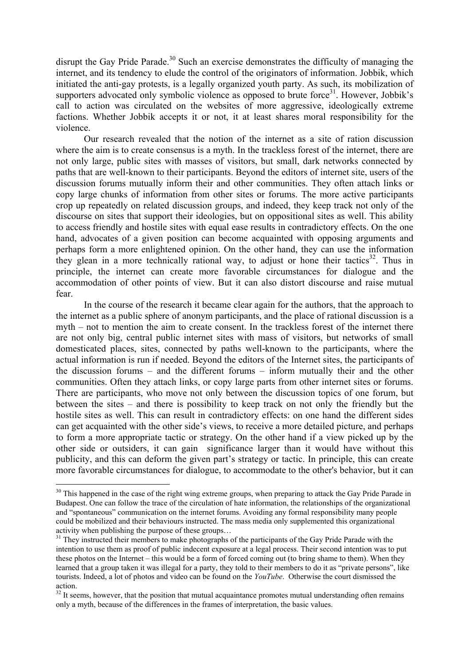disrupt the Gay Pride Parade.<sup>30</sup> Such an exercise demonstrates the difficulty of managing the internet, and its tendency to elude the control of the originators of information. Jobbik, which initiated the anti-gay protests, is a legally organized youth party. As such, its mobilization of supporters advocated only symbolic violence as opposed to brute force<sup>31</sup>. However, Jobbik's call to action was circulated on the websites of more aggressive, ideologically extreme factions. Whether Jobbik accepts it or not, it at least shares moral responsibility for the violence.

Our research revealed that the notion of the internet as a site of ration discussion where the aim is to create consensus is a myth. In the trackless forest of the internet, there are not only large, public sites with masses of visitors, but small, dark networks connected by paths that are well-known to their participants. Beyond the editors of internet site, users of the discussion forums mutually inform their and other communities. They often attach links or copy large chunks of information from other sites or forums. The more active participants crop up repeatedly on related discussion groups, and indeed, they keep track not only of the discourse on sites that support their ideologies, but on oppositional sites as well. This ability to access friendly and hostile sites with equal ease results in contradictory effects. On the one hand, advocates of a given position can become acquainted with opposing arguments and perhaps form a more enlightened opinion. On the other hand, they can use the information they glean in a more technically rational way, to adjust or hone their tactics<sup>32</sup>. Thus in principle, the internet can create more favorable circumstances for dialogue and the accommodation of other points of view. But it can also distort discourse and raise mutual fear.

In the course of the research it became clear again for the authors, that the approach to the internet as a public sphere of anonym participants, and the place of rational discussion is a myth – not to mention the aim to create consent. In the trackless forest of the internet there are not only big, central public internet sites with mass of visitors, but networks of small domesticated places, sites, connected by paths well-known to the participants, where the actual information is run if needed. Beyond the editors of the Internet sites, the participants of the discussion forums – and the different forums – inform mutually their and the other communities. Often they attach links, or copy large parts from other internet sites or forums. There are participants, who move not only between the discussion topics of one forum, but between the sites – and there is possibility to keep track on not only the friendly but the hostile sites as well. This can result in contradictory effects: on one hand the different sides can get acquainted with the other side's views, to receive a more detailed picture, and perhaps to form a more appropriate tactic or strategy. On the other hand if a view picked up by the other side or outsiders, it can gain significance larger than it would have without this publicity, and this can deform the given part's strategy or tactic. In principle, this can create more favorable circumstances for dialogue, to accommodate to the other's behavior, but it can

<sup>&</sup>lt;sup>30</sup> This happened in the case of the right wing extreme groups, when preparing to attack the Gay Pride Parade in Budapest. One can follow the trace of the circulation of hate information, the relationships of the organizational and "spontaneous" communication on the internet forums. Avoiding any formal responsibility many people could be mobilized and their behaviours instructed. The mass media only supplemented this organizational activity when publishing the purpose of these groups…

<sup>&</sup>lt;sup>31</sup> They instructed their members to make photographs of the participants of the Gay Pride Parade with the intention to use them as proof of public indecent exposure at a legal process. Their second intention was to put these photos on the Internet – this would be a form of forced coming out (to bring shame to them). When they learned that a group taken it was illegal for a party, they told to their members to do it as "private persons", like tourists. Indeed, a lot of photos and video can be found on the *YouTube*. Otherwise the court dismissed the action.

<sup>&</sup>lt;sup>32</sup> It seems, however, that the position that mutual acquaintance promotes mutual understanding often remains only a myth, because of the differences in the frames of interpretation, the basic values.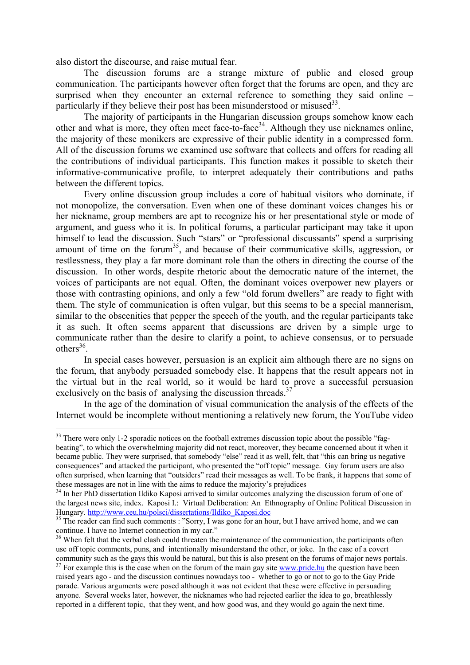also distort the discourse, and raise mutual fear.

1

The discussion forums are a strange mixture of public and closed group communication. The participants however often forget that the forums are open, and they are surprised when they encounter an external reference to something they said online – particularly if they believe their post has been misunderstood or misused  $33$ .

The majority of participants in the Hungarian discussion groups somehow know each other and what is more, they often meet face-to-face<sup>34</sup>. Although they use nicknames online, the majority of these monikers are expressive of their public identity in a compressed form. All of the discussion forums we examined use software that collects and offers for reading all the contributions of individual participants. This function makes it possible to sketch their informative-communicative profile, to interpret adequately their contributions and paths between the different topics.

Every online discussion group includes a core of habitual visitors who dominate, if not monopolize, the conversation. Even when one of these dominant voices changes his or her nickname, group members are apt to recognize his or her presentational style or mode of argument, and guess who it is. In political forums, a particular participant may take it upon himself to lead the discussion. Such "stars" or "professional discussants" spend a surprising amount of time on the forum $35$ , and because of their communicative skills, aggression, or restlessness, they play a far more dominant role than the others in directing the course of the discussion. In other words, despite rhetoric about the democratic nature of the internet, the voices of participants are not equal. Often, the dominant voices overpower new players or those with contrasting opinions, and only a few "old forum dwellers" are ready to fight with them. The style of communication is often vulgar, but this seems to be a special mannerism, similar to the obscenities that pepper the speech of the youth, and the regular participants take it as such. It often seems apparent that discussions are driven by a simple urge to communicate rather than the desire to clarify a point, to achieve consensus, or to persuade  $others<sup>36</sup>$ 

In special cases however, persuasion is an explicit aim although there are no signs on the forum, that anybody persuaded somebody else. It happens that the result appears not in the virtual but in the real world, so it would be hard to prove a successful persuasion exclusively on the basis of analysing the discussion threads.<sup>37</sup>

In the age of the domination of visual communication the analysis of the effects of the Internet would be incomplete without mentioning a relatively new forum, the YouTube video

<sup>&</sup>lt;sup>33</sup> There were only 1-2 sporadic notices on the football extremes discussion topic about the possible "fagbeating", to which the overwhelming majority did not react, moreover, they became concerned about it when it became public. They were surprised, that somebody "else" read it as well, felt, that "this can bring us negative consequences" and attacked the participant, who presented the "off topic" message. Gay forum users are also often surprised, when learning that "outsiders" read their messages as well. To be frank, it happens that some of

these messages are not in line with the aims to reduce the majority's prejudices<br><sup>34</sup> In her PhD dissertation Ildiko Kaposi arrived to similar outcomes analyzing the discussion forum of one of the largest news site, index. Kaposi I.: Virtual Deliberation: An Ethnography of Online Political Discussion in Hungary. http://www.ceu.hu/polsci/dissertations/Ildiko\_Kaposi.doc

<sup>&</sup>lt;sup>35</sup> The reader can find such comments : "Sorry, I was gone for an hour, but I have arrived home, and we can continue. I have no Internet connection in my car."

<sup>&</sup>lt;sup>36</sup> When felt that the verbal clash could threaten the maintenance of the communication, the participants often use off topic comments, puns, and intentionally misunderstand the other, or joke. In the case of a covert community such as the gays this would be natural, but this is also present on the forums of major news portals.

 $37$  For example this is the case when on the forum of the main gay site www.pride.hu the question have been raised years ago - and the discussion continues nowadays too - whether to go or not to go to the Gay Pride parade. Various arguments were posed although it was not evident that these were effective in persuading anyone. Several weeks later, however, the nicknames who had rejected earlier the idea to go, breathlessly reported in a different topic, that they went, and how good was, and they would go again the next time.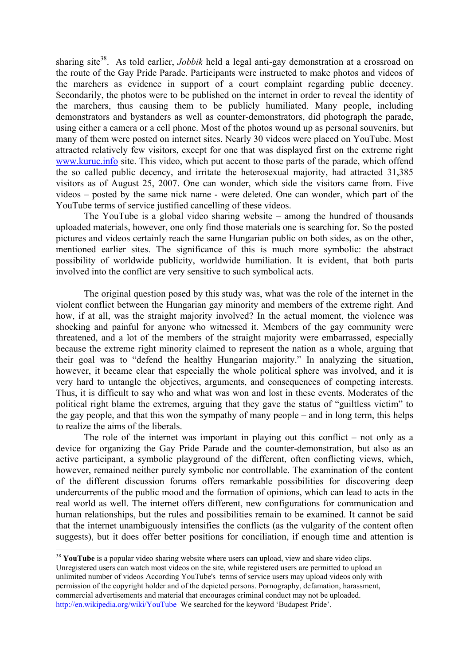sharing site<sup>38</sup>. As told earlier, *Jobbik* held a legal anti-gay demonstration at a crossroad on the route of the Gay Pride Parade. Participants were instructed to make photos and videos of the marchers as evidence in support of a court complaint regarding public decency. Secondarily, the photos were to be published on the internet in order to reveal the identity of the marchers, thus causing them to be publicly humiliated. Many people, including demonstrators and bystanders as well as counter-demonstrators, did photograph the parade, using either a camera or a cell phone. Most of the photos wound up as personal souvenirs, but many of them were posted on internet sites. Nearly 30 videos were placed on YouTube. Most attracted relatively few visitors, except for one that was displayed first on the extreme right www.kuruc.info site. This video, which put accent to those parts of the parade, which offend the so called public decency, and irritate the heterosexual majority, had attracted 31,385 visitors as of August 25, 2007. One can wonder, which side the visitors came from. Five videos – posted by the same nick name - were deleted. One can wonder, which part of the YouTube terms of service justified cancelling of these videos.

The YouTube is a global video sharing website – among the hundred of thousands uploaded materials, however, one only find those materials one is searching for. So the posted pictures and videos certainly reach the same Hungarian public on both sides, as on the other, mentioned earlier sites. The significance of this is much more symbolic: the abstract possibility of worldwide publicity, worldwide humiliation. It is evident, that both parts involved into the conflict are very sensitive to such symbolical acts.

The original question posed by this study was, what was the role of the internet in the violent conflict between the Hungarian gay minority and members of the extreme right. And how, if at all, was the straight majority involved? In the actual moment, the violence was shocking and painful for anyone who witnessed it. Members of the gay community were threatened, and a lot of the members of the straight majority were embarrassed, especially because the extreme right minority claimed to represent the nation as a whole, arguing that their goal was to "defend the healthy Hungarian majority." In analyzing the situation, however, it became clear that especially the whole political sphere was involved, and it is very hard to untangle the objectives, arguments, and consequences of competing interests. Thus, it is difficult to say who and what was won and lost in these events. Moderates of the political right blame the extremes, arguing that they gave the status of "guiltless victim" to the gay people, and that this won the sympathy of many people – and in long term, this helps to realize the aims of the liberals.

The role of the internet was important in playing out this conflict – not only as a device for organizing the Gay Pride Parade and the counter-demonstration, but also as an active participant, a symbolic playground of the different, often conflicting views, which, however, remained neither purely symbolic nor controllable. The examination of the content of the different discussion forums offers remarkable possibilities for discovering deep undercurrents of the public mood and the formation of opinions, which can lead to acts in the real world as well. The internet offers different, new configurations for communication and human relationships, but the rules and possibilities remain to be examined. It cannot be said that the internet unambiguously intensifies the conflicts (as the vulgarity of the content often suggests), but it does offer better positions for conciliation, if enough time and attention is

<sup>&</sup>lt;sup>38</sup> **YouTube** is a popular video sharing website where users can upload, view and share video clips. Unregistered users can watch most videos on the site, while registered users are permitted to upload an unlimited number of videos According YouTube's terms of service users may upload videos only with permission of the copyright holder and of the depicted persons. Pornography, defamation, harassment, commercial advertisements and material that encourages criminal conduct may not be uploaded. http://en.wikipedia.org/wiki/YouTube We searched for the keyword 'Budapest Pride'.